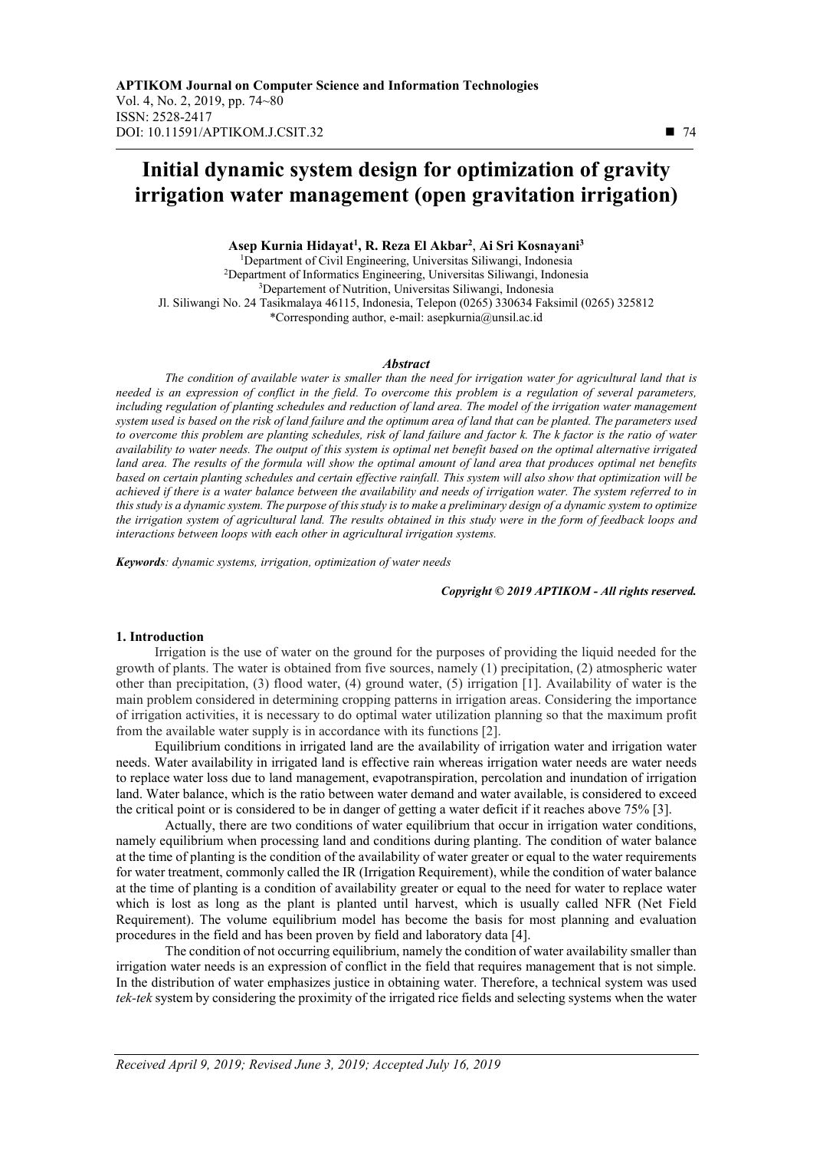# **Initial dynamic system design for optimization of gravity irrigation water management (open gravitation irrigation)**

**Asep Kurnia Hidayat<sup>1</sup> , R. Reza El Akbar<sup>2</sup>** , **Ai Sri Kosnayani<sup>3</sup>**

<sup>1</sup>Department of Civil Engineering, Universitas Siliwangi, Indonesia <sup>2</sup>Department of Informatics Engineering, Universitas Siliwangi, Indonesia <sup>3</sup>Departement of Nutrition, Universitas Siliwangi, Indonesia Jl. Siliwangi No. 24 Tasikmalaya 46115, Indonesia, Telepon (0265) 330634 Faksimil (0265) 325812 \*Corresponding author, e-mail: asepkurnia@unsil.ac.id

#### *Abstract*

*The condition of available water is smaller than the need for irrigation water for agricultural land that is needed is an expression of conflict in the field. To overcome this problem is a regulation of several parameters,*  including regulation of planting schedules and reduction of land area. The model of the irrigation water management *system used is based on the risk of land failure and the optimum area of land that can be planted. The parameters used to overcome this problem are planting schedules, risk of land failure and factor k. The k factor is the ratio of water availability to water needs. The output of this system is optimal net benefit based on the optimal alternative irrigated land area. The results of the formula will show the optimal amount of land area that produces optimal net benefits based on certain planting schedules and certain effective rainfall. This system will also show that optimization will be achieved if there is a water balance between the availability and needs of irrigation water. The system referred to in this study is a dynamic system. The purpose of this study is to make a preliminary design of a dynamic system to optimize the irrigation system of agricultural land. The results obtained in this study were in the form of feedback loops and interactions between loops with each other in agricultural irrigation systems.* 

*Keywords: dynamic systems, irrigation, optimization of water needs*

*Copyright © 2019 APTIKOM - All rights reserved.*

#### **1. Introduction**

Irrigation is the use of water on the ground for the purposes of providing the liquid needed for the growth of plants. The water is obtained from five sources, namely (1) precipitation, (2) atmospheric water other than precipitation, (3) flood water, (4) ground water, (5) irrigation [1]. Availability of water is the main problem considered in determining cropping patterns in irrigation areas. Considering the importance of irrigation activities, it is necessary to do optimal water utilization planning so that the maximum profit from the available water supply is in accordance with its functions [2].

Equilibrium conditions in irrigated land are the availability of irrigation water and irrigation water needs. Water availability in irrigated land is effective rain whereas irrigation water needs are water needs to replace water loss due to land management, evapotranspiration, percolation and inundation of irrigation land. Water balance, which is the ratio between water demand and water available, is considered to exceed the critical point or is considered to be in danger of getting a water deficit if it reaches above 75% [3].

Actually, there are two conditions of water equilibrium that occur in irrigation water conditions, namely equilibrium when processing land and conditions during planting. The condition of water balance at the time of planting is the condition of the availability of water greater or equal to the water requirements for water treatment, commonly called the IR (Irrigation Requirement), while the condition of water balance at the time of planting is a condition of availability greater or equal to the need for water to replace water which is lost as long as the plant is planted until harvest, which is usually called NFR (Net Field Requirement). The volume equilibrium model has become the basis for most planning and evaluation procedures in the field and has been proven by field and laboratory data [4].

The condition of not occurring equilibrium, namely the condition of water availability smaller than irrigation water needs is an expression of conflict in the field that requires management that is not simple. In the distribution of water emphasizes justice in obtaining water. Therefore, a technical system was used *tek-tek* system by considering the proximity of the irrigated rice fields and selecting systems when the water

 $\overline{a}$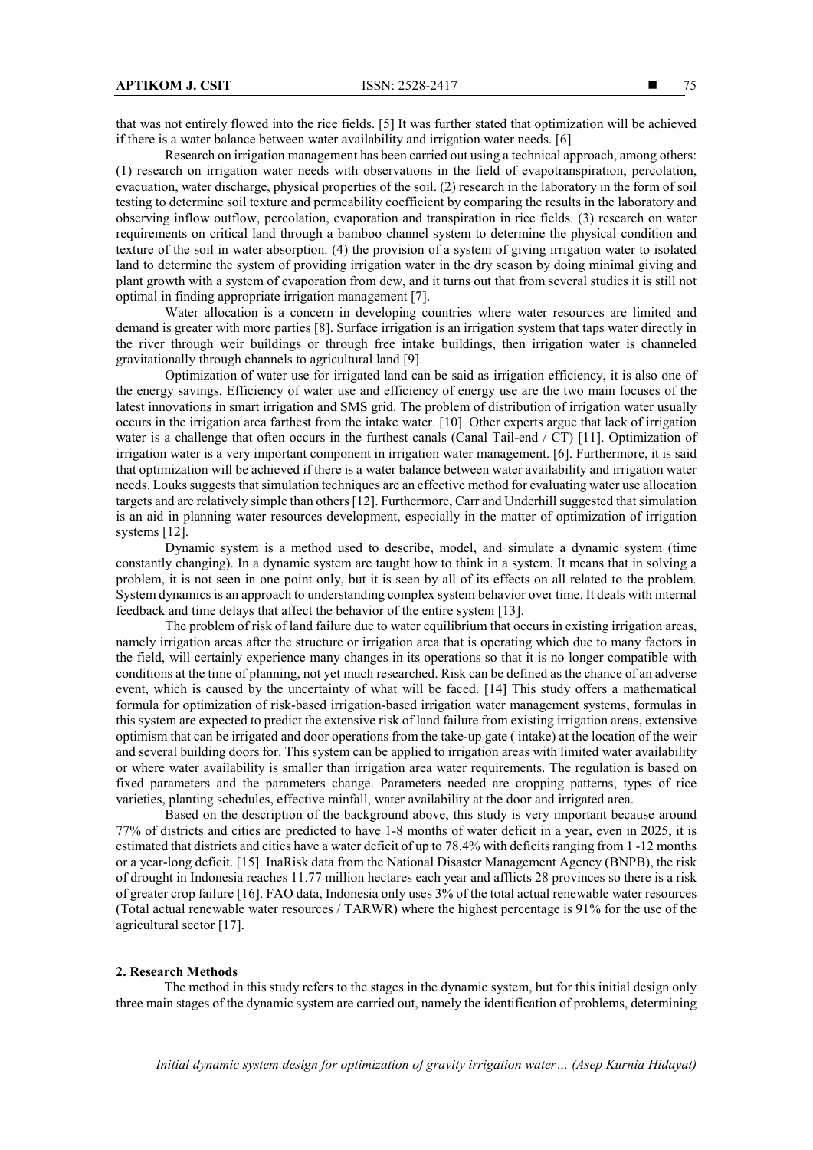that was not entirely flowed into the rice fields. [5] It was further stated that optimization will be achieved if there is a water balance between water availability and irrigation water needs. [6]

Research on irrigation management has been carried out using a technical approach, among others: (1) research on irrigation water needs with observations in the field of evapotranspiration, percolation, evacuation, water discharge, physical properties of the soil. (2) research in the laboratory in the form of soil testing to determine soil texture and permeability coefficient by comparing the results in the laboratory and observing inflow outflow, percolation, evaporation and transpiration in rice fields. (3) research on water requirements on critical land through a bamboo channel system to determine the physical condition and texture of the soil in water absorption. (4) the provision of a system of giving irrigation water to isolated land to determine the system of providing irrigation water in the dry season by doing minimal giving and plant growth with a system of evaporation from dew, and it turns out that from several studies it is still not optimal in finding appropriate irrigation management [7].

Water allocation is a concern in developing countries where water resources are limited and demand is greater with more parties [8]. Surface irrigation is an irrigation system that taps water directly in the river through weir buildings or through free intake buildings, then irrigation water is channeled gravitationally through channels to agricultural land [9].

Optimization of water use for irrigated land can be said as irrigation efficiency, it is also one of the energy savings. Efficiency of water use and efficiency of energy use are the two main focuses of the latest innovations in smart irrigation and SMS grid. The problem of distribution of irrigation water usually occurs in the irrigation area farthest from the intake water. [10]. Other experts argue that lack of irrigation water is a challenge that often occurs in the furthest canals (Canal Tail-end / CT) [11]. Optimization of irrigation water is a very important component in irrigation water management. [6]. Furthermore, it is said that optimization will be achieved if there is a water balance between water availability and irrigation water needs. Louks suggests that simulation techniques are an effective method for evaluating water use allocation targets and are relatively simple than others [12]. Furthermore, Carr and Underhill suggested that simulation is an aid in planning water resources development, especially in the matter of optimization of irrigation systems [12].

Dynamic system is a method used to describe, model, and simulate a dynamic system (time constantly changing). In a dynamic system are taught how to think in a system. It means that in solving a problem, it is not seen in one point only, but it is seen by all of its effects on all related to the problem. System dynamics is an approach to understanding complex system behavior over time. It deals with internal feedback and time delays that affect the behavior of the entire system [13].

The problem of risk of land failure due to water equilibrium that occurs in existing irrigation areas, namely irrigation areas after the structure or irrigation area that is operating which due to many factors in the field, will certainly experience many changes in its operations so that it is no longer compatible with conditions at the time of planning, not yet much researched. Risk can be defined as the chance of an adverse event, which is caused by the uncertainty of what will be faced. [14] This study offers a mathematical formula for optimization of risk-based irrigation-based irrigation water management systems, formulas in this system are expected to predict the extensive risk of land failure from existing irrigation areas, extensive optimism that can be irrigated and door operations from the take-up gate ( intake) at the location of the weir and several building doors for. This system can be applied to irrigation areas with limited water availability or where water availability is smaller than irrigation area water requirements. The regulation is based on fixed parameters and the parameters change. Parameters needed are cropping patterns, types of rice varieties, planting schedules, effective rainfall, water availability at the door and irrigated area.

Based on the description of the background above, this study is very important because around 77% of districts and cities are predicted to have 1-8 months of water deficit in a year, even in 2025, it is estimated that districts and cities have a water deficit of up to 78.4% with deficits ranging from 1 -12 months or a year-long deficit. [15]. InaRisk data from the National Disaster Management Agency (BNPB), the risk of drought in Indonesia reaches 11.77 million hectares each year and afflicts 28 provinces so there is a risk of greater crop failure [16]. FAO data, Indonesia only uses 3% of the total actual renewable water resources (Total actual renewable water resources / TARWR) where the highest percentage is 91% for the use of the agricultural sector [17].

#### **2. Research Methods**

The method in this study refers to the stages in the dynamic system, but for this initial design only three main stages of the dynamic system are carried out, namely the identification of problems, determining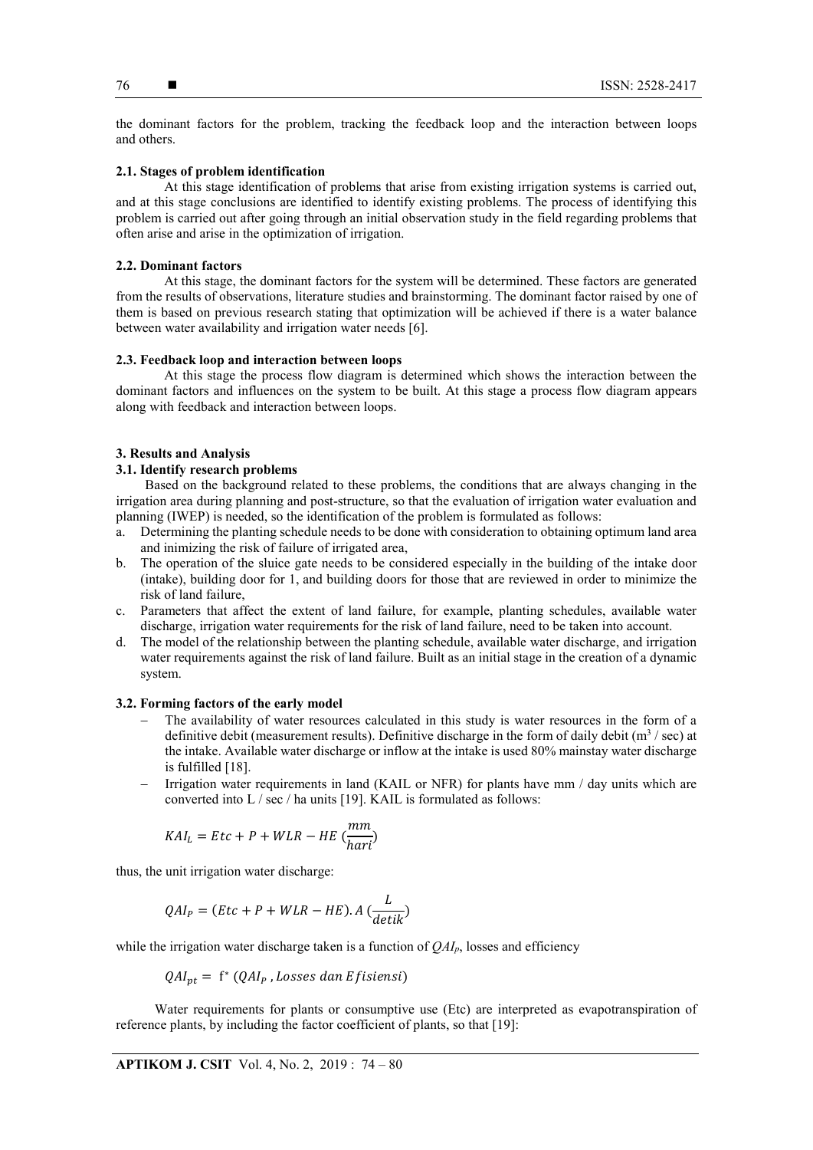the dominant factors for the problem, tracking the feedback loop and the interaction between loops and others.

# **2.1. Stages of problem identification**

At this stage identification of problems that arise from existing irrigation systems is carried out, and at this stage conclusions are identified to identify existing problems. The process of identifying this problem is carried out after going through an initial observation study in the field regarding problems that often arise and arise in the optimization of irrigation.

# **2.2. Dominant factors**

At this stage, the dominant factors for the system will be determined. These factors are generated from the results of observations, literature studies and brainstorming. The dominant factor raised by one of them is based on previous research stating that optimization will be achieved if there is a water balance between water availability and irrigation water needs [6].

## **2.3. Feedback loop and interaction between loops**

At this stage the process flow diagram is determined which shows the interaction between the dominant factors and influences on the system to be built. At this stage a process flow diagram appears along with feedback and interaction between loops.

## **3. Results and Analysis**

# **3.1. Identify research problems**

Based on the background related to these problems, the conditions that are always changing in the irrigation area during planning and post-structure, so that the evaluation of irrigation water evaluation and planning (IWEP) is needed, so the identification of the problem is formulated as follows:

- a. Determining the planting schedule needs to be done with consideration to obtaining optimum land area and inimizing the risk of failure of irrigated area,
- b. The operation of the sluice gate needs to be considered especially in the building of the intake door (intake), building door for 1, and building doors for those that are reviewed in order to minimize the risk of land failure,
- c. Parameters that affect the extent of land failure, for example, planting schedules, available water discharge, irrigation water requirements for the risk of land failure, need to be taken into account.
- d. The model of the relationship between the planting schedule, available water discharge, and irrigation water requirements against the risk of land failure. Built as an initial stage in the creation of a dynamic system.

## **3.2. Forming factors of the early model**

- The availability of water resources calculated in this study is water resources in the form of a definitive debit (measurement results). Definitive discharge in the form of daily debit ( $m<sup>3</sup>$  / sec) at the intake. Available water discharge or inflow at the intake is used 80% mainstay water discharge is fulfilled [18].
- Irrigation water requirements in land (KAIL or NFR) for plants have mm / day units which are converted into L / sec / ha units [19]. KAIL is formulated as follows:

$$
KAI_L = Etc + P + WLR - HE \left(\frac{mm}{hari}\right)
$$

thus, the unit irrigation water discharge:

$$
QAI_P = (Etc + P + WLR - HE).A\left(\frac{L}{detik}\right)
$$

while the irrigation water discharge taken is a function of *QAIp*, losses and efficiency

$$
QAI_{pt} = f^*(QAI_p, Losses dan Efisiensi)
$$

Water requirements for plants or consumptive use (Etc) are interpreted as evapotranspiration of reference plants, by including the factor coefficient of plants, so that [19]: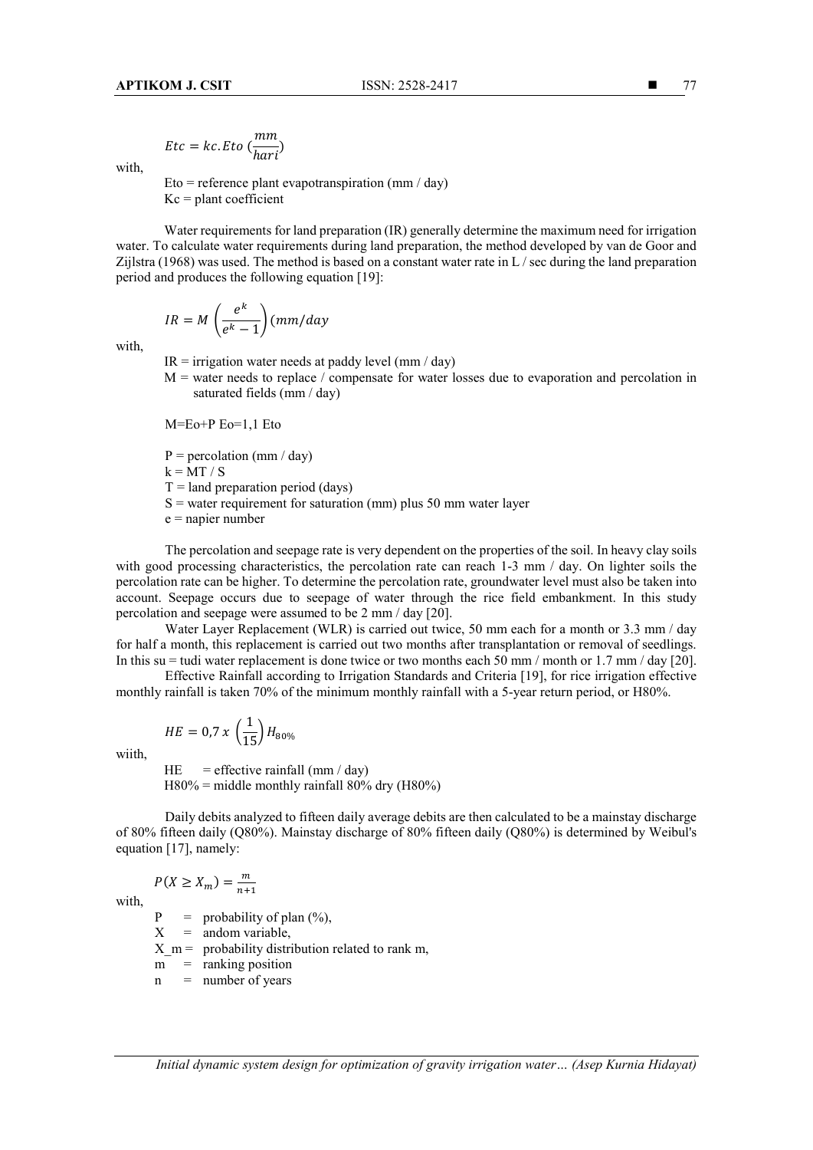$$
Etc = kc. Eto \left(\frac{mm}{hari}\right)
$$

with,

Eto = reference plant evapotranspiration (mm / day)  $Kc =$  plant coefficient

Water requirements for land preparation (IR) generally determine the maximum need for irrigation water. To calculate water requirements during land preparation, the method developed by van de Goor and Zijlstra (1968) was used. The method is based on a constant water rate in L / sec during the land preparation period and produces the following equation [19]:

$$
IR = M\left(\frac{e^k}{e^k - 1}\right)(mm/day)
$$

with,

- $IR =$  irrigation water needs at paddy level (mm / day)
- $M =$  water needs to replace / compensate for water losses due to evaporation and percolation in saturated fields (mm / day)

M=Eo+P Eo=1,1 Eto

 $P =$  percolation (mm / day)

 $k = MT / S$ 

 $T =$ land preparation period (days)

 $S =$  water requirement for saturation (mm) plus 50 mm water layer

 $e$  = napier number

The percolation and seepage rate is very dependent on the properties of the soil. In heavy clay soils with good processing characteristics, the percolation rate can reach 1-3 mm / day. On lighter soils the percolation rate can be higher. To determine the percolation rate, groundwater level must also be taken into account. Seepage occurs due to seepage of water through the rice field embankment. In this study percolation and seepage were assumed to be 2 mm / day [20].

Water Layer Replacement (WLR) is carried out twice, 50 mm each for a month or 3.3 mm / day for half a month, this replacement is carried out two months after transplantation or removal of seedlings. In this su = tudi water replacement is done twice or two months each 50 mm / month or 1.7 mm / day [20].

Effective Rainfall according to Irrigation Standards and Criteria [19], for rice irrigation effective monthly rainfall is taken 70% of the minimum monthly rainfall with a 5-year return period, or H80%.

$$
HE = 0.7 \; x \; \left(\frac{1}{15}\right) H_{80\%}
$$

wiith,

HE = effective rainfall (mm / day)  $H80\%$  = middle monthly rainfall 80% dry (H80%)

Daily debits analyzed to fifteen daily average debits are then calculated to be a mainstay discharge of 80% fifteen daily (Q80%). Mainstay discharge of 80% fifteen daily (Q80%) is determined by Weibul's equation [17], namely:

$$
P(X \ge X_m) = \frac{m}{n+1}
$$

with,

 $P =$  probability of plan (%),<br> $X =$  andom variable.  $=$  andom variable,

 $X_m$  = probability distribution related to rank m,

 $m =$  ranking position

 $n =$  number of years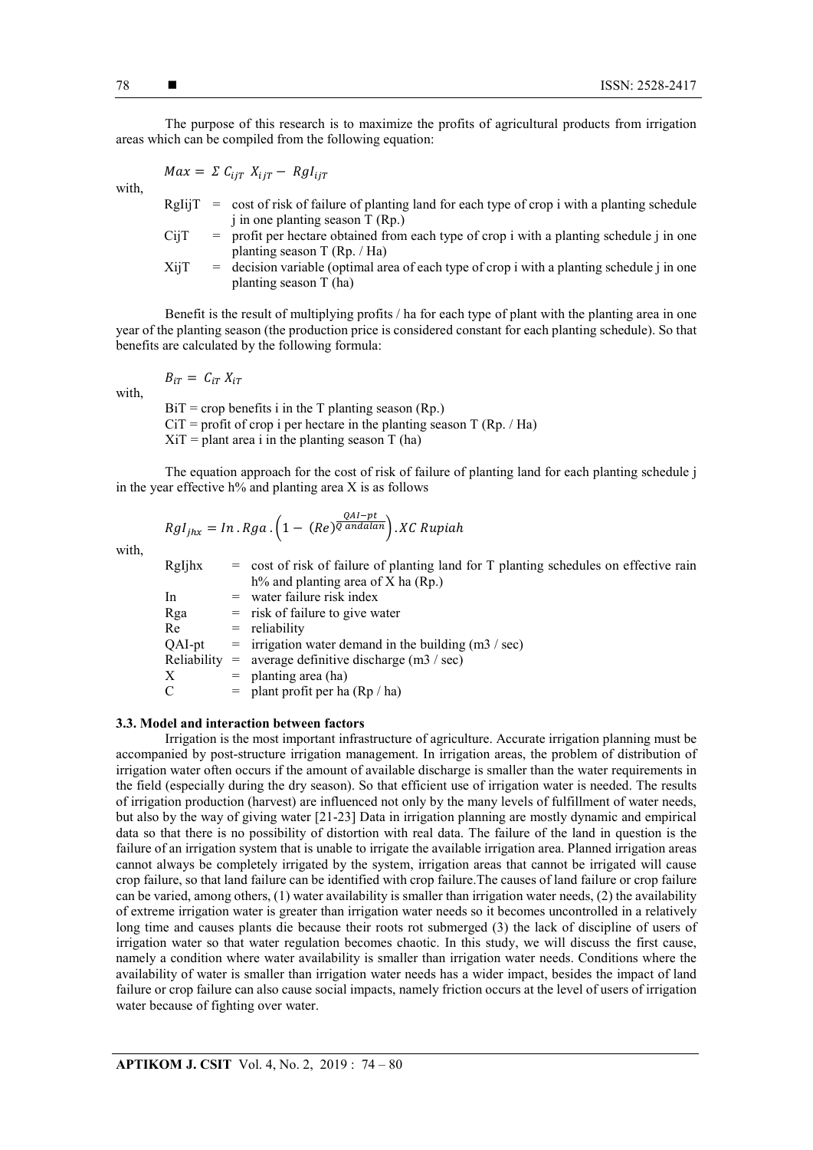The purpose of this research is to maximize the profits of agricultural products from irrigation areas which can be compiled from the following equation:

$$
Max = \Sigma C_{ijT} X_{ijT} - Rgl_{ijT}
$$

with,

- RgIij $T = \text{cost of risk of failure of planning land for each type of crop } i \text{ with a planning schedule}$ j in one planting season T (Rp.)
- $CijT =$  profit per hectare obtained from each type of crop i with a planting schedule j in one planting season T (Rp. / Ha)
- $XijT = decision variable (optimal area of each type of crop i with a planning schedule j in one)$ planting season T (ha)

Benefit is the result of multiplying profits / ha for each type of plant with the planting area in one year of the planting season (the production price is considered constant for each planting schedule). So that benefits are calculated by the following formula:

 $B_{iT} = C_{iT} X_{iT}$ 

 $BiT = crop$  benefits i in the T planting season (Rp.)  $CiT$  = profit of crop i per hectare in the planting season T (Rp. / Ha)  $Xi =$  plant area i in the planting season T (ha)

The equation approach for the cost of risk of failure of planting land for each planting schedule j in the year effective  $h\%$  and planting area X is as follows

$$
Rgl_{jhx} = In \cdot Rga \cdot \left(1 - (Re)^{\frac{QAI - pt}{Q \text{ and } alan}}\right) \cdot XC \text{ Rupiah}
$$

with,

with,

| RgIjhx      | $=$ cost of risk of failure of planting land for T planting schedules on effective rain |
|-------------|-----------------------------------------------------------------------------------------|
|             | $h\%$ and planting area of X ha (Rp.)                                                   |
| In          | $=$ water failure risk index                                                            |
| Rga         | $=$ risk of failure to give water                                                       |
| Re          | $=$ reliability                                                                         |
| QAI-pt      | $=$ irrigation water demand in the building (m3 / sec)                                  |
| Reliability | $=$ average definitive discharge (m3 / sec)                                             |
| X           | $=$ planting area (ha)                                                                  |
| C           | $=$ plant profit per ha (Rp / ha)                                                       |

## **3.3. Model and interaction between factors**

Irrigation is the most important infrastructure of agriculture. Accurate irrigation planning must be accompanied by post-structure irrigation management. In irrigation areas, the problem of distribution of irrigation water often occurs if the amount of available discharge is smaller than the water requirements in the field (especially during the dry season). So that efficient use of irrigation water is needed. The results of irrigation production (harvest) are influenced not only by the many levels of fulfillment of water needs, but also by the way of giving water [21-23] Data in irrigation planning are mostly dynamic and empirical data so that there is no possibility of distortion with real data. The failure of the land in question is the failure of an irrigation system that is unable to irrigate the available irrigation area. Planned irrigation areas cannot always be completely irrigated by the system, irrigation areas that cannot be irrigated will cause crop failure, so that land failure can be identified with crop failure.The causes of land failure or crop failure can be varied, among others, (1) water availability is smaller than irrigation water needs, (2) the availability of extreme irrigation water is greater than irrigation water needs so it becomes uncontrolled in a relatively long time and causes plants die because their roots rot submerged (3) the lack of discipline of users of irrigation water so that water regulation becomes chaotic. In this study, we will discuss the first cause, namely a condition where water availability is smaller than irrigation water needs. Conditions where the availability of water is smaller than irrigation water needs has a wider impact, besides the impact of land failure or crop failure can also cause social impacts, namely friction occurs at the level of users of irrigation water because of fighting over water.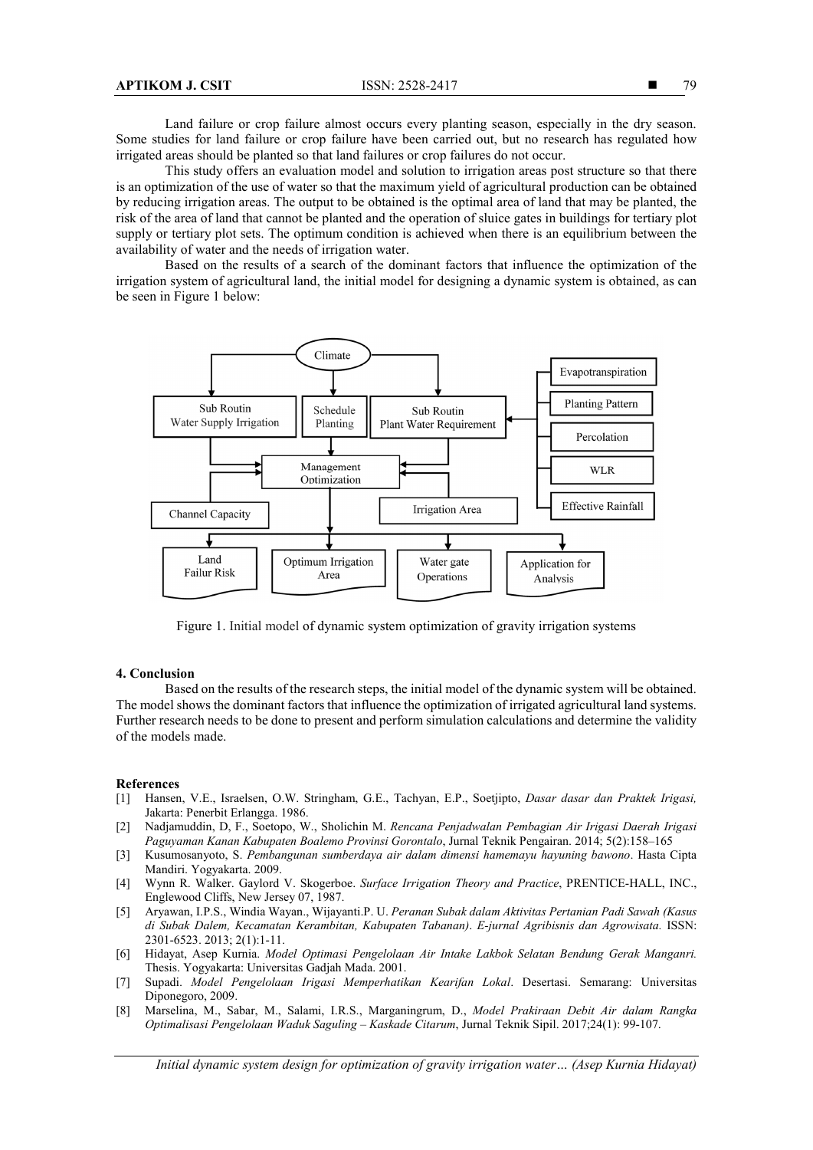Land failure or crop failure almost occurs every planting season, especially in the dry season. Some studies for land failure or crop failure have been carried out, but no research has regulated how irrigated areas should be planted so that land failures or crop failures do not occur.

This study offers an evaluation model and solution to irrigation areas post structure so that there is an optimization of the use of water so that the maximum yield of agricultural production can be obtained by reducing irrigation areas. The output to be obtained is the optimal area of land that may be planted, the risk of the area of land that cannot be planted and the operation of sluice gates in buildings for tertiary plot supply or tertiary plot sets. The optimum condition is achieved when there is an equilibrium between the availability of water and the needs of irrigation water.

Based on the results of a search of the dominant factors that influence the optimization of the irrigation system of agricultural land, the initial model for designing a dynamic system is obtained, as can be seen in Figure 1 below:



Figure 1. Initial model of dynamic system optimization of gravity irrigation systems

#### **4. Conclusion**

Based on the results of the research steps, the initial model of the dynamic system will be obtained. The model shows the dominant factors that influence the optimization of irrigated agricultural land systems. Further research needs to be done to present and perform simulation calculations and determine the validity of the models made.

#### **References**

- [1] Hansen, V.E., Israelsen, O.W. Stringham, G.E., Tachyan, E.P., Soetjipto, *Dasar dasar dan Praktek Irigasi,*  Jakarta: Penerbit Erlangga. 1986.
- [2] Nadjamuddin, D, F., Soetopo, W., Sholichin M. *Rencana Penjadwalan Pembagian Air Irigasi Daerah Irigasi Paguyaman Kanan Kabupaten Boalemo Provinsi Gorontalo*, Jurnal Teknik Pengairan. 2014; 5(2):158–165
- [3] Kusumosanyoto, S. *Pembangunan sumberdaya air dalam dimensi hamemayu hayuning bawono*. Hasta Cipta Mandiri. Yogyakarta. 2009.
- [4] Wynn R. Walker. Gaylord V. Skogerboe. *Surface Irrigation Theory and Practice*, PRENTICE-HALL, INC., Englewood Cliffs, New Jersey 07, 1987.
- [5] Aryawan, I.P.S., Windia Wayan., Wijayanti.P. U. *Peranan Subak dalam Aktivitas Pertanian Padi Sawah (Kasus di Subak Dalem, Kecamatan Kerambitan, Kabupaten Tabanan)*. *E-jurnal Agribisnis dan Agrowisata.* ISSN: 2301-6523. 2013; 2(1):1-11.
- [6] Hidayat, Asep Kurnia. *Model Optimasi Pengelolaan Air Intake Lakbok Selatan Bendung Gerak Manganri.*  Thesis. Yogyakarta: Universitas Gadjah Mada. 2001.
- [7] Supadi. *Model Pengelolaan Irigasi Memperhatikan Kearifan Lokal*. Desertasi. Semarang: Universitas Diponegoro, 2009.
- [8] Marselina, M., Sabar, M., Salami, I.R.S., Marganingrum, D., *Model Prakiraan Debit Air dalam Rangka Optimalisasi Pengelolaan Waduk Saguling – Kaskade Citarum*, Jurnal Teknik Sipil. 2017;24(1): 99-107.